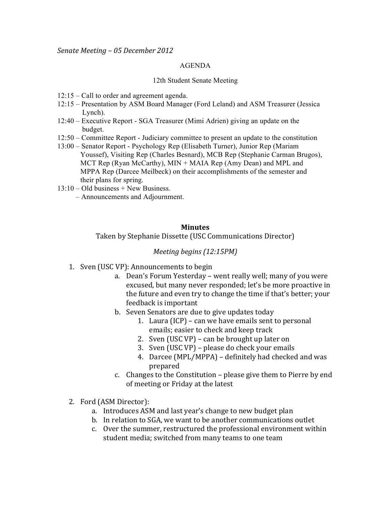## AGENDA

## 12th Student Senate Meeting

- 12:15 Call to order and agreement agenda.
- 12:15 Presentation by ASM Board Manager (Ford Leland) and ASM Treasurer (Jessica Lynch).
- 12:40 Executive Report SGA Treasurer (Mimi Adrien) giving an update on the budget.
- 12:50 Committee Report Judiciary committee to present an update to the constitution
- 13:00 Senator Report Psychology Rep (Elisabeth Turner), Junior Rep (Mariam Youssef), Visiting Rep (Charles Besnard), MCB Rep (Stephanie Carman Brugos), MCT Rep (Ryan McCarthy), MIN + MAIA Rep (Amy Dean) and MPL and MPPA Rep (Darcee Meilbeck) on their accomplishments of the semester and their plans for spring.
- $13:10 Old business + New Business.$ 
	- Announcements and Adjournment.

## **Minutes**

Taken by Stephanie Dissette (USC Communications Director)

## *Meeting begins (12:15PM)*

- 1. Sven (USC VP): Announcements to begin
	- a. Dean's Forum Yesterday went really well; many of you were excused, but many never responded; let's be more proactive in the future and even try to change the time if that's better; your feedback is important
	- b. Seven Senators are due to give updates today
		- 1. Laura (ICP) can we have emails sent to personal emails; easier to check and keep track
		- 2. Sven (USC VP) can be brought up later on
		- 3. Sven (USC VP) please do check your emails
		- 4. Darcee (MPL/MPPA) definitely had checked and was prepared!
	- c. Changes to the Constitution please give them to Pierre by end of meeting or Friday at the latest
- 2. Ford (ASM Director):
	- a. Introduces ASM and last year's change to new budget plan
	- b. In relation to SGA, we want to be another communications outlet
	- c. Over the summer, restructured the professional environment within student media; switched from many teams to one team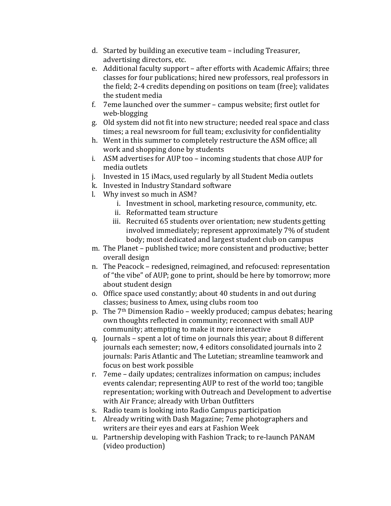- d. Started by building an executive team including Treasurer, advertising directors, etc.
- e. Additional faculty support after efforts with Academic Affairs; three classes for four publications; hired new professors, real professors in the field; 2-4 credits depending on positions on team (free); validates the student media
- f. 7eme launched over the summer campus website; first outlet for web-blogging
- g. Old system did not fit into new structure; needed real space and class times; a real newsroom for full team; exclusivity for confidentiality
- h. Went in this summer to completely restructure the ASM office; all work and shopping done by students
- i. ASM advertises for AUP too incoming students that chose AUP for media outlets
- j. Invested in 15 iMacs, used regularly by all Student Media outlets
- k. Invested in Industry Standard software
- l. Why invest so much in ASM?
	- i. Investment in school, marketing resource, community, etc.
	- ii. Reformatted team structure
	- iii. Recruited 65 students over orientation; new students getting involved immediately; represent approximately 7% of student body; most dedicated and largest student club on campus
- m. The Planet published twice; more consistent and productive; better overall design
- n. The Peacock redesigned, reimagined, and refocused: representation of "the vibe" of AUP; gone to print, should be here by tomorrow; more about student design
- o. Office space used constantly; about 40 students in and out during classes; business to Amex, using clubs room too
- p. The  $7<sup>th</sup>$  Dimension Radio weekly produced; campus debates; hearing own thoughts reflected in community; reconnect with small AUP community; attempting to make it more interactive
- q. Journals spent a lot of time on journals this year; about 8 different journals each semester; now, 4 editors consolidated journals into 2 journals: Paris Atlantic and The Lutetian; streamline teamwork and focus on best work possible
- r. 7eme daily updates; centralizes information on campus; includes events calendar; representing AUP to rest of the world too; tangible representation; working with Outreach and Development to advertise with Air France; already with Urban Outfitters
- s. Radio team is looking into Radio Campus participation
- t. Already writing with Dash Magazine; 7eme photographers and writers are their eyes and ears at Fashion Week
- u. Partnership developing with Fashion Track; to re-launch PANAM (video production)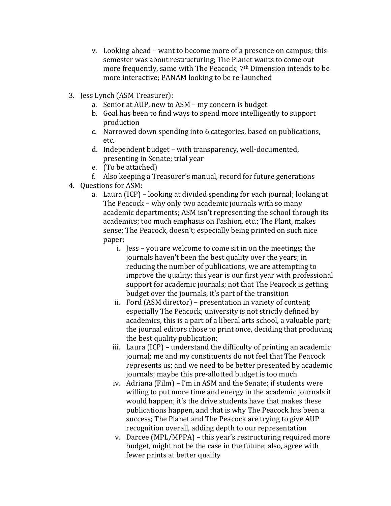- v. Looking ahead want to become more of a presence on campus; this semester was about restructuring; The Planet wants to come out more frequently, same with The Peacock;  $7<sup>th</sup>$  Dimension intends to be more interactive; PANAM looking to be re-launched
- 3. Jess Lynch (ASM Treasurer):
	- a. Senior at AUP, new to ASM my concern is budget
	- b. Goal has been to find ways to spend more intelligently to support production
	- c. Narrowed down spending into 6 categories, based on publications, etc.!
	- d. Independent budget with transparency, well-documented, presenting in Senate; trial year
	- e. (To be attached)
	- f. Also keeping a Treasurer's manual, record for future generations
- 4. Questions for ASM:
	- a. Laura (ICP) looking at divided spending for each journal; looking at The Peacock – why only two academic journals with so many academic departments; ASM isn't representing the school through its academics; too much emphasis on Fashion, etc.; The Plant, makes sense; The Peacock, doesn't; especially being printed on such nice paper;
		- i. Jess you are welcome to come sit in on the meetings; the journals haven't been the best quality over the years; in reducing the number of publications, we are attempting to improve the quality; this year is our first year with professional support for academic journals; not that The Peacock is getting budget over the journals, it's part of the transition
		- ii. Ford (ASM director) presentation in variety of content; especially The Peacock; university is not strictly defined by academics, this is a part of a liberal arts school, a valuable part; the journal editors chose to print once, deciding that producing the best quality publication;
		- iii. Laura (ICP) understand the difficulty of printing an academic journal; me and my constituents do not feel that The Peacock represents us; and we need to be better presented by academic journals; maybe this pre-allotted budget is too much
		- iv. Adriana (Film) I'm in ASM and the Senate; if students were willing to put more time and energy in the academic journals it would happen; it's the drive students have that makes these publications happen, and that is why The Peacock has been a success; The Planet and The Peacock are trying to give AUP recognition overall, adding depth to our representation
		- v. Darcee (MPL/MPPA) this year's restructuring required more budget, might not be the case in the future; also, agree with fewer prints at better quality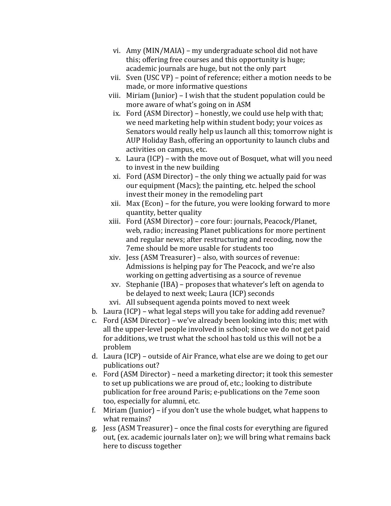- vi. Amy (MIN/MAIA) my undergraduate school did not have this; offering free courses and this opportunity is huge; academic journals are huge, but not the only part
- vii. Sven (USC VP) point of reference; either a motion needs to be made, or more informative questions
- viii. Miriam (Junior) I wish that the student population could be more aware of what's going on in ASM
	- ix. Ford (ASM Director) honestly, we could use help with that; we need marketing help within student body; your voices as Senators would really help us launch all this; tomorrow night is AUP Holiday Bash, offering an opportunity to launch clubs and activities on campus, etc.
	- x. Laura (ICP) with the move out of Bosquet, what will you need to invest in the new building
	- xi. Ford (ASM Director) the only thing we actually paid for was our equipment (Macs); the painting, etc. helped the school invest their money in the remodeling part
- xii. Max (Econ) for the future, you were looking forward to more quantity, better quality
- xiii. Ford (ASM Director) core four: journals, Peacock/Planet, web, radio; increasing Planet publications for more pertinent and regular news; after restructuring and recoding, now the 7eme should be more usable for students too
- xiv. Jess (ASM Treasurer) also, with sources of revenue: Admissions is helping pay for The Peacock, and we're also working on getting advertising as a source of revenue
- $xv.$  Stephanie (IBA) proposes that whatever's left on agenda to be delayed to next week; Laura (ICP) seconds
- xvi. All subsequent agenda points moved to next week
- b. Laura (ICP) what legal steps will you take for adding add revenue?
- c. Ford  $(ASM$  Director) we've already been looking into this; met with all the upper-level people involved in school; since we do not get paid for additions, we trust what the school has told us this will not be a problem
- d. Laura (ICP) outside of Air France, what else are we doing to get our publications out?
- e. Ford (ASM Director) need a marketing director; it took this semester to set up publications we are proud of, etc.; looking to distribute publication for free around Paris; e-publications on the 7eme soon too, especially for alumni, etc.
- f. Miriam (Junior) if you don't use the whole budget, what happens to what remains?
- g. Jess (ASM Treasurer) once the final costs for everything are figured out, (ex. academic journals later on); we will bring what remains back here to discuss together